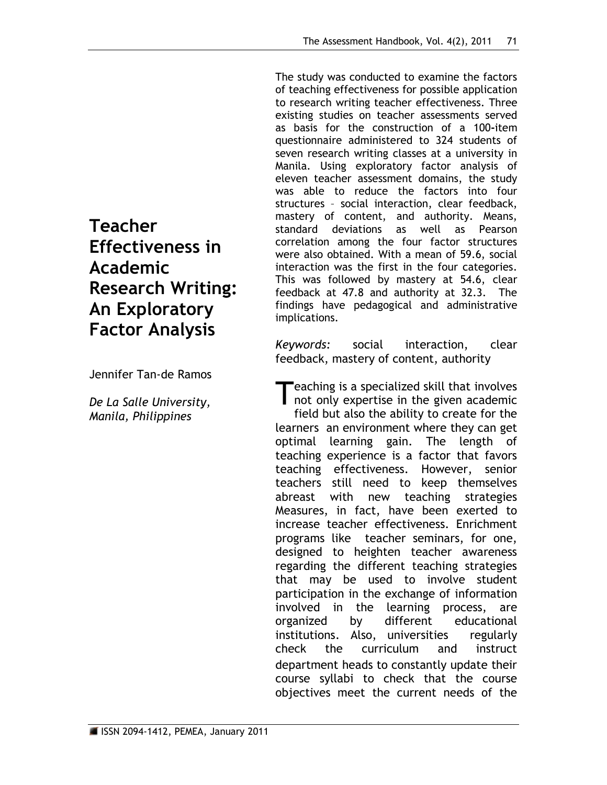The study was conducted to examine the factors of teaching effectiveness for possible application to research writing teacher effectiveness. Three existing studies on teacher assessments served as basis for the construction of a 100**-**item questionnaire administered to 324 students of seven research writing classes at a university in Manila. Using exploratory factor analysis of eleven teacher assessment domains, the study was able to reduce the factors into four structures – social interaction, clear feedback, mastery of content, and authority. Means, standard deviations as well as Pearson correlation among the four factor structures were also obtained. With a mean of 59.6, social interaction was the first in the four categories. This was followed by mastery at 54.6, clear feedback at 47.8 and authority at 32.3. The findings have pedagogical and administrative implications.

*Keywords:* social interaction, clear feedback, mastery of content, authority

eaching is a specialized skill that involves Teaching is a specialized skill that involves<br>not only expertise in the given academic field but also the ability to create for the learners an environment where they can get optimal learning gain. The length of teaching experience is a factor that favors teaching effectiveness. However, senior teachers still need to keep themselves abreast with new teaching strategies Measures, in fact, have been exerted to increase teacher effectiveness. Enrichment programs like teacher seminars, for one, designed to heighten teacher awareness regarding the different teaching strategies that may be used to involve student participation in the exchange of information involved in the learning process, are organized by different educational institutions. Also, universities regularly check the curriculum and instruct department heads to constantly update their course syllabi to check that the course objectives meet the current needs of the

# **Teacher Effectiveness in Academic Research Writing: An Exploratory Factor Analysis**

Jennifer Tan-de Ramos

*De La Salle University, Manila, Philippines*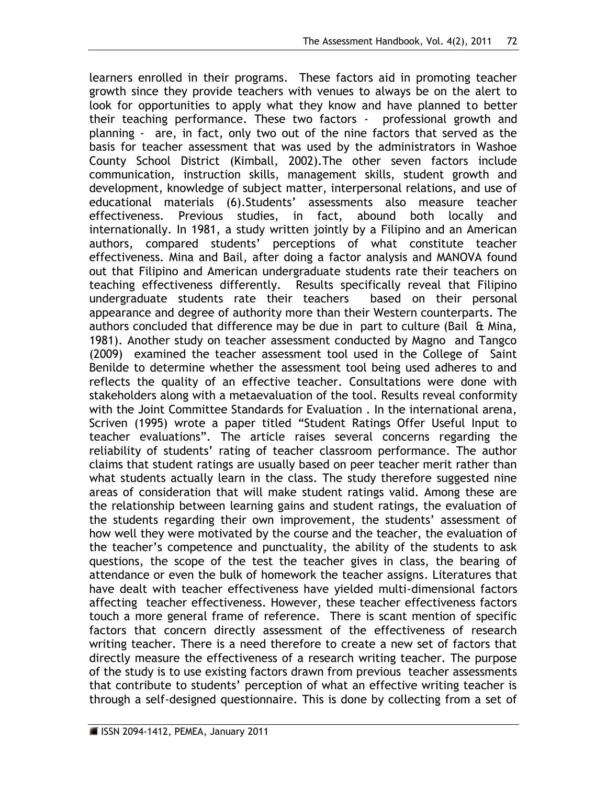learners enrolled in their programs. These factors aid in promoting teacher growth since they provide teachers with venues to always be on the alert to look for opportunities to apply what they know and have planned to better their teaching performance. These two factors - professional growth and planning - are, in fact, only two out of the nine factors that served as the basis for teacher assessment that was used by the administrators in Washoe County School District (Kimball, 2002).The other seven factors include communication, instruction skills, management skills, student growth and development, knowledge of subject matter, interpersonal relations, and use of educational materials (6).Students' assessments also measure teacher effectiveness. Previous studies, in fact, abound both locally and internationally. In 1981, a study written jointly by a Filipino and an American authors, compared students' perceptions of what constitute teacher effectiveness. Mina and Bail, after doing a factor analysis and MANOVA found out that Filipino and American undergraduate students rate their teachers on teaching effectiveness differently. Results specifically reveal that Filipino undergraduate students rate their teachers based on their personal appearance and degree of authority more than their Western counterparts. The authors concluded that difference may be due in part to culture (Bail  $\theta$  Mina, 1981). Another study on teacher assessment conducted by Magno and Tangco (2009) examined the teacher assessment tool used in the College of Saint Benilde to determine whether the assessment tool being used adheres to and reflects the quality of an effective teacher. Consultations were done with stakeholders along with a metaevaluation of the tool. Results reveal conformity with the Joint Committee Standards for Evaluation . In the international arena, Scriven (1995) wrote a paper titled "Student Ratings Offer Useful Input to teacher evaluations". The article raises several concerns regarding the reliability of students' rating of teacher classroom performance. The author claims that student ratings are usually based on peer teacher merit rather than what students actually learn in the class. The study therefore suggested nine areas of consideration that will make student ratings valid. Among these are the relationship between learning gains and student ratings, the evaluation of the students regarding their own improvement, the students' assessment of how well they were motivated by the course and the teacher, the evaluation of the teacher's competence and punctuality, the ability of the students to ask questions, the scope of the test the teacher gives in class, the bearing of attendance or even the bulk of homework the teacher assigns. Literatures that have dealt with teacher effectiveness have yielded multi-dimensional factors affecting teacher effectiveness. However, these teacher effectiveness factors touch a more general frame of reference. There is scant mention of specific factors that concern directly assessment of the effectiveness of research writing teacher. There is a need therefore to create a new set of factors that directly measure the effectiveness of a research writing teacher. The purpose of the study is to use existing factors drawn from previous teacher assessments that contribute to students' perception of what an effective writing teacher is through a self-designed questionnaire. This is done by collecting from a set of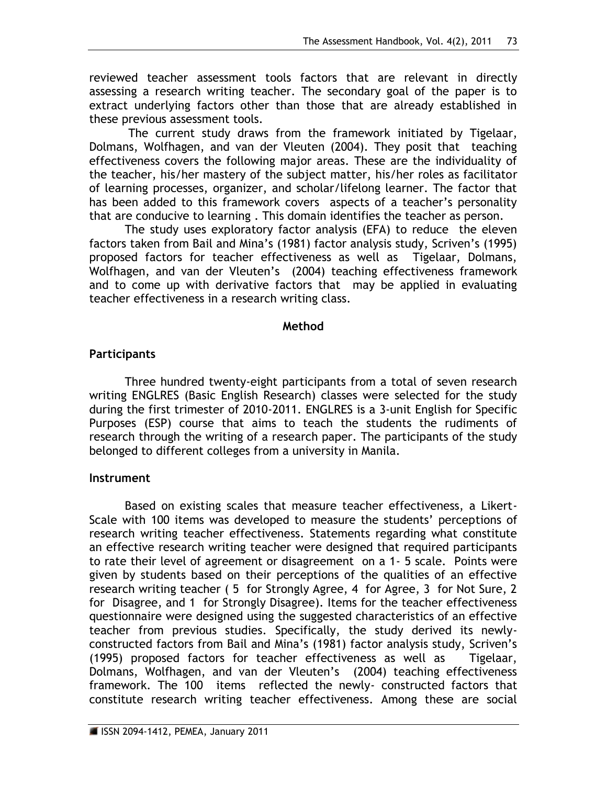reviewed teacher assessment tools factors that are relevant in directly assessing a research writing teacher. The secondary goal of the paper is to extract underlying factors other than those that are already established in these previous assessment tools.

The current study draws from the framework initiated by Tigelaar, Dolmans, Wolfhagen, and van der Vleuten (2004). They posit that teaching effectiveness covers the following major areas. These are the individuality of the teacher, his/her mastery of the subject matter, his/her roles as facilitator of learning processes, organizer, and scholar/lifelong learner. The factor that has been added to this framework covers aspects of a teacher's personality that are conducive to learning . This domain identifies the teacher as person.

The study uses exploratory factor analysis (EFA) to reduce the eleven factors taken from Bail and Mina's (1981) factor analysis study, Scriven's (1995) proposed factors for teacher effectiveness as well as Tigelaar, Dolmans, Wolfhagen, and van der Vleuten's (2004) teaching effectiveness framework and to come up with derivative factors that may be applied in evaluating teacher effectiveness in a research writing class.

#### **Method**

## **Participants**

Three hundred twenty-eight participants from a total of seven research writing ENGLRES (Basic English Research) classes were selected for the study during the first trimester of 2010-2011. ENGLRES is a 3-unit English for Specific Purposes (ESP) course that aims to teach the students the rudiments of research through the writing of a research paper. The participants of the study belonged to different colleges from a university in Manila.

#### **Instrument**

Based on existing scales that measure teacher effectiveness, a Likert-Scale with 100 items was developed to measure the students' perceptions of research writing teacher effectiveness. Statements regarding what constitute an effective research writing teacher were designed that required participants to rate their level of agreement or disagreement on a 1- 5 scale. Points were given by students based on their perceptions of the qualities of an effective research writing teacher ( 5 for Strongly Agree, 4 for Agree, 3 for Not Sure, 2 for Disagree, and 1 for Strongly Disagree). Items for the teacher effectiveness questionnaire were designed using the suggested characteristics of an effective teacher from previous studies. Specifically, the study derived its newlyconstructed factors from Bail and Mina's (1981) factor analysis study, Scriven's (1995) proposed factors for teacher effectiveness as well as Tigelaar, Dolmans, Wolfhagen, and van der Vleuten's (2004) teaching effectiveness framework. The 100 items reflected the newly- constructed factors that constitute research writing teacher effectiveness. Among these are social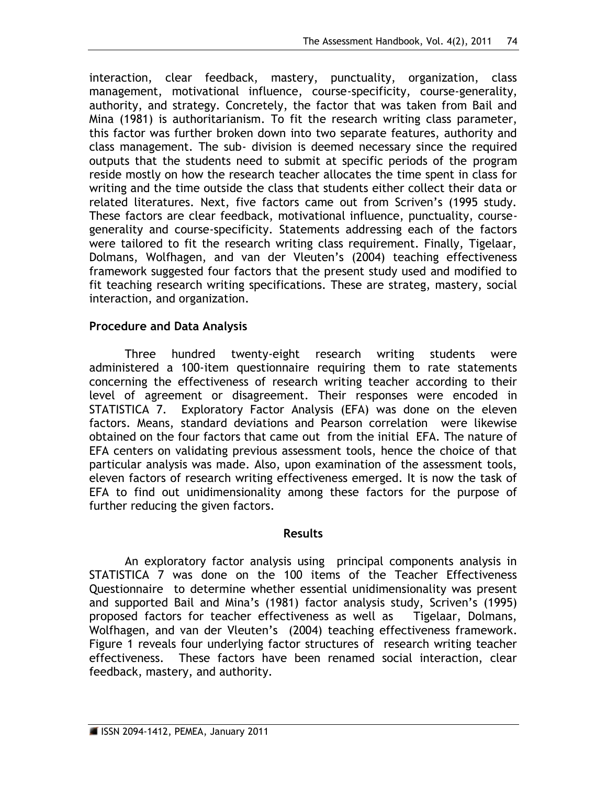interaction, clear feedback, mastery, punctuality, organization, class management, motivational influence, course-specificity, course-generality, authority, and strategy. Concretely, the factor that was taken from Bail and Mina (1981) is authoritarianism. To fit the research writing class parameter, this factor was further broken down into two separate features, authority and class management. The sub- division is deemed necessary since the required outputs that the students need to submit at specific periods of the program reside mostly on how the research teacher allocates the time spent in class for writing and the time outside the class that students either collect their data or related literatures. Next, five factors came out from Scriven's (1995 study. These factors are clear feedback, motivational influence, punctuality, coursegenerality and course-specificity. Statements addressing each of the factors were tailored to fit the research writing class requirement. Finally, Tigelaar, Dolmans, Wolfhagen, and van der Vleuten's (2004) teaching effectiveness framework suggested four factors that the present study used and modified to fit teaching research writing specifications. These are strateg, mastery, social interaction, and organization.

## **Procedure and Data Analysis**

Three hundred twenty-eight research writing students were administered a 100-item questionnaire requiring them to rate statements concerning the effectiveness of research writing teacher according to their level of agreement or disagreement. Their responses were encoded in STATISTICA 7. Exploratory Factor Analysis (EFA) was done on the eleven factors. Means, standard deviations and Pearson correlation were likewise obtained on the four factors that came out from the initial EFA. The nature of EFA centers on validating previous assessment tools, hence the choice of that particular analysis was made. Also, upon examination of the assessment tools, eleven factors of research writing effectiveness emerged. It is now the task of EFA to find out unidimensionality among these factors for the purpose of further reducing the given factors.

#### **Results**

An exploratory factor analysis using principal components analysis in STATISTICA 7 was done on the 100 items of the Teacher Effectiveness Questionnaire to determine whether essential unidimensionality was present and supported Bail and Mina's (1981) factor analysis study, Scriven's (1995) proposed factors for teacher effectiveness as well as Tigelaar, Dolmans, Wolfhagen, and van der Vleuten's (2004) teaching effectiveness framework. Figure 1 reveals four underlying factor structures of research writing teacher effectiveness. These factors have been renamed social interaction, clear feedback, mastery, and authority.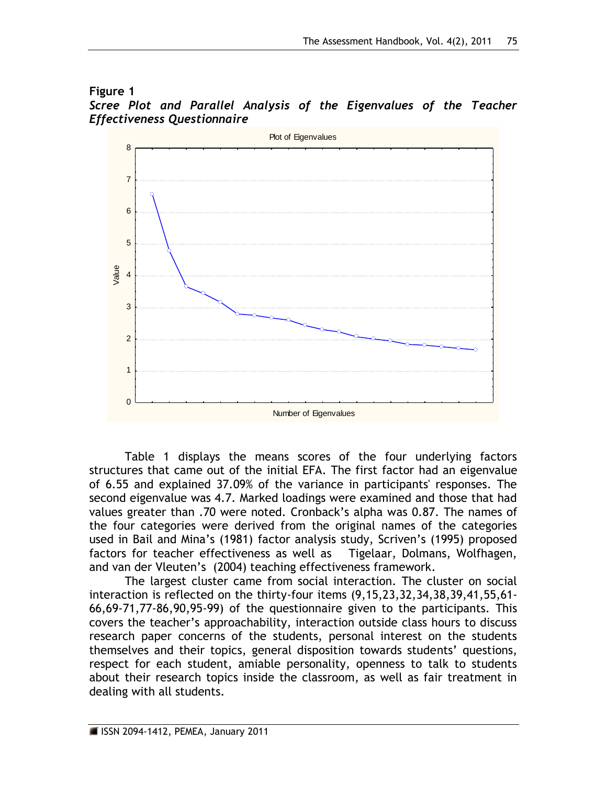#### **Figure 1**





Table 1 displays the means scores of the four underlying factors structures that came out of the initial EFA. The first factor had an eigenvalue of 6.55 and explained 37.09% of the variance in participants' responses. The second eigenvalue was 4.7. Marked loadings were examined and those that had values greater than .70 were noted. Cronback's alpha was 0.87. The names of the four categories were derived from the original names of the categories used in Bail and Mina's (1981) factor analysis study, Scriven's (1995) proposed factors for teacher effectiveness as well as Tigelaar, Dolmans, Wolfhagen, and van der Vleuten's (2004) teaching effectiveness framework.

The largest cluster came from social interaction. The cluster on social interaction is reflected on the thirty-four items (9,15,23,32,34,38,39,41,55,61- 66,69-71,77-86,90,95-99) of the questionnaire given to the participants. This covers the teacher's approachability, interaction outside class hours to discuss research paper concerns of the students, personal interest on the students themselves and their topics, general disposition towards students' questions, respect for each student, amiable personality, openness to talk to students about their research topics inside the classroom, as well as fair treatment in dealing with all students.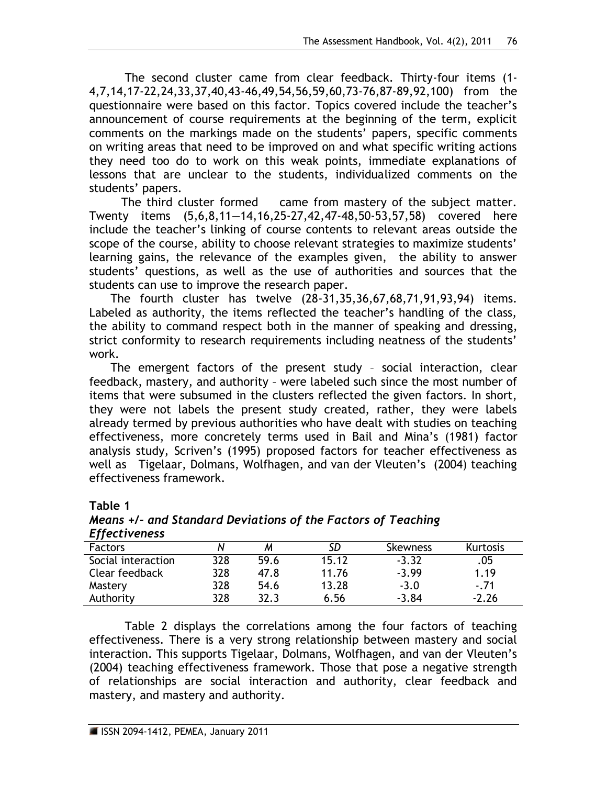The second cluster came from clear feedback. Thirty-four items (1- 4,7,14,17-22,24,33,37,40,43-46,49,54,56,59,60,73-76,87-89,92,100) from the questionnaire were based on this factor. Topics covered include the teacher's announcement of course requirements at the beginning of the term, explicit comments on the markings made on the students' papers, specific comments on writing areas that need to be improved on and what specific writing actions they need too do to work on this weak points, immediate explanations of lessons that are unclear to the students, individualized comments on the students' papers.

 The third cluster formed came from mastery of the subject matter. Twenty items (5,6,8,11—14,16,25-27,42,47-48,50-53,57,58) covered here include the teacher's linking of course contents to relevant areas outside the scope of the course, ability to choose relevant strategies to maximize students' learning gains, the relevance of the examples given, the ability to answer students' questions, as well as the use of authorities and sources that the students can use to improve the research paper.

 The fourth cluster has twelve (28-31,35,36,67,68,71,91,93,94) items. Labeled as authority, the items reflected the teacher's handling of the class, the ability to command respect both in the manner of speaking and dressing, strict conformity to research requirements including neatness of the students' work.

 The emergent factors of the present study – social interaction, clear feedback, mastery, and authority – were labeled such since the most number of items that were subsumed in the clusters reflected the given factors. In short, they were not labels the present study created, rather, they were labels already termed by previous authorities who have dealt with studies on teaching effectiveness, more concretely terms used in Bail and Mina's (1981) factor analysis study, Scriven's (1995) proposed factors for teacher effectiveness as well as Tigelaar, Dolmans, Wolfhagen, and van der Vleuten's (2004) teaching effectiveness framework.

| <b>LITECTIVENESS</b> |     |      |       |                 |          |  |
|----------------------|-----|------|-------|-----------------|----------|--|
| <b>Factors</b>       |     |      | SD    | <b>Skewness</b> | Kurtosis |  |
| Social interaction   | 328 | 59.6 | 15.12 | $-3.32$         | .05      |  |
| Clear feedback       | 328 | 47.8 | 11.76 | $-3.99$         | 1.19     |  |
| Mastery              | 328 | 54.6 | 13.28 | $-3.0$          | $-.71$   |  |
| Authority            | 328 | 32.3 | 6.56  | $-3.84$         | $-2.26$  |  |

#### **Table 1** *Means +/- and Standard Deviations of the Factors of Teaching Effectiveness*

Table 2 displays the correlations among the four factors of teaching effectiveness. There is a very strong relationship between mastery and social interaction. This supports Tigelaar, Dolmans, Wolfhagen, and van der Vleuten's (2004) teaching effectiveness framework. Those that pose a negative strength of relationships are social interaction and authority, clear feedback and mastery, and mastery and authority.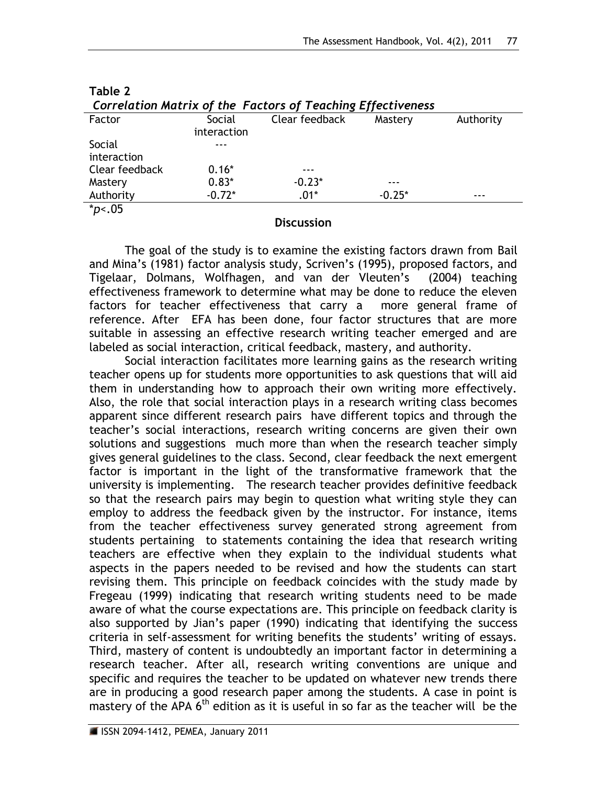| Correlation Matrix of the Factors of Teaching Effectiveness |             |                |          |           |  |  |  |
|-------------------------------------------------------------|-------------|----------------|----------|-----------|--|--|--|
| Factor                                                      | Social      | Clear feedback | Mastery  | Authority |  |  |  |
|                                                             | interaction |                |          |           |  |  |  |
| Social                                                      |             |                |          |           |  |  |  |
| interaction                                                 |             |                |          |           |  |  |  |
| Clear feedback                                              | $0.16*$     | ---            |          |           |  |  |  |
| Mastery                                                     | $0.83*$     | $-0.23*$       |          |           |  |  |  |
| Authority                                                   | $-0.72*$    | $.01*$         | $-0.25*$ |           |  |  |  |
| $*_{p<.05}$                                                 |             |                |          |           |  |  |  |

| $\Gamma$ and $\Gamma$<br>Capiel Clear Capillagh Hastam      |  |
|-------------------------------------------------------------|--|
| Correlation Matrix of the Factors of Teaching Effectiveness |  |
| Table 2                                                     |  |

#### **Discussion**

The goal of the study is to examine the existing factors drawn from Bail and Mina's (1981) factor analysis study, Scriven's (1995), proposed factors, and Tigelaar, Dolmans, Wolfhagen, and van der Vleuten's (2004) teaching effectiveness framework to determine what may be done to reduce the eleven factors for teacher effectiveness that carry a more general frame of reference. After EFA has been done, four factor structures that are more suitable in assessing an effective research writing teacher emerged and are labeled as social interaction, critical feedback, mastery, and authority.

Social interaction facilitates more learning gains as the research writing teacher opens up for students more opportunities to ask questions that will aid them in understanding how to approach their own writing more effectively. Also, the role that social interaction plays in a research writing class becomes apparent since different research pairs have different topics and through the teacher's social interactions, research writing concerns are given their own solutions and suggestions much more than when the research teacher simply gives general guidelines to the class. Second, clear feedback the next emergent factor is important in the light of the transformative framework that the university is implementing. The research teacher provides definitive feedback so that the research pairs may begin to question what writing style they can employ to address the feedback given by the instructor. For instance, items from the teacher effectiveness survey generated strong agreement from students pertaining to statements containing the idea that research writing teachers are effective when they explain to the individual students what aspects in the papers needed to be revised and how the students can start revising them. This principle on feedback coincides with the study made by Fregeau (1999) indicating that research writing students need to be made aware of what the course expectations are. This principle on feedback clarity is also supported by Jian's paper (1990) indicating that identifying the success criteria in self-assessment for writing benefits the students' writing of essays. Third, mastery of content is undoubtedly an important factor in determining a research teacher. After all, research writing conventions are unique and specific and requires the teacher to be updated on whatever new trends there are in producing a good research paper among the students. A case in point is mastery of the APA  $6<sup>th</sup>$  edition as it is useful in so far as the teacher will be the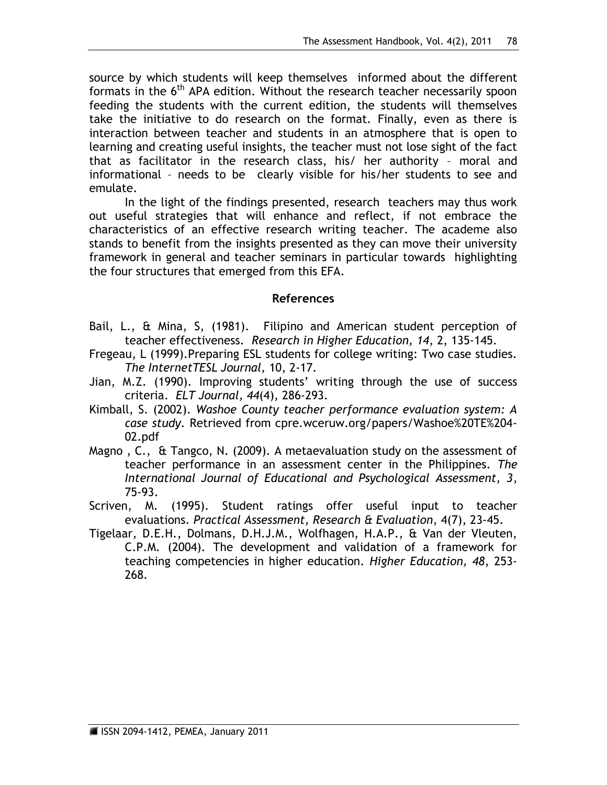source by which students will keep themselves informed about the different formats in the  $6<sup>th</sup>$  APA edition. Without the research teacher necessarily spoon feeding the students with the current edition, the students will themselves take the initiative to do research on the format. Finally, even as there is interaction between teacher and students in an atmosphere that is open to learning and creating useful insights, the teacher must not lose sight of the fact that as facilitator in the research class, his/ her authority – moral and informational – needs to be clearly visible for his/her students to see and emulate.

In the light of the findings presented, research teachers may thus work out useful strategies that will enhance and reflect, if not embrace the characteristics of an effective research writing teacher. The academe also stands to benefit from the insights presented as they can move their university framework in general and teacher seminars in particular towards highlighting the four structures that emerged from this EFA.

#### **References**

- Bail, L., & Mina, S, (1981). Filipino and American student perception of teacher effectiveness. *Research in Higher Education, 14*, 2, 135-145.
- Fregeau, L (1999).Preparing ESL students for college writing: Two case studies. *The InternetTESL Journal,* 10, 2-17.
- Jian, M.Z. (1990). Improving students' writing through the use of success criteria. *ELT Journal, 44*(4), 286-293.
- Kimball, S. (2002). *Washoe County teacher performance evaluation system: A case study.* Retrieved from cpre.wceruw.org/papers/Washoe%20TE%204- 02.pdf
- Magno , C., & Tangco, N. (2009). A metaevaluation study on the assessment of teacher performance in an assessment center in the Philippines. *The International Journal of Educational and Psychological Assessment, 3*, 75-93.
- Scriven, M. (1995). Student ratings offer useful input to teacher evaluations. *Practical Assessment, Research & Evaluation*, 4(7), 23-45.
- Tigelaar, D.E.H., Dolmans, D.H.J.M., Wolfhagen, H.A.P., & Van der Vleuten, C.P.M. (2004). The development and validation of a framework for teaching competencies in higher education. *Higher Education, 48*, 253- 268.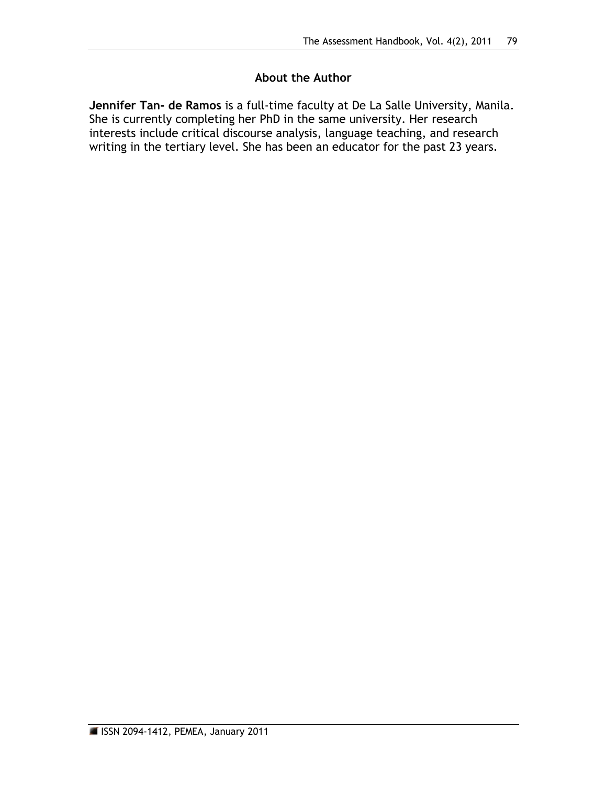# **About the Author**

**Jennifer Tan- de Ramos** is a full-time faculty at De La Salle University, Manila. She is currently completing her PhD in the same university. Her research interests include critical discourse analysis, language teaching, and research writing in the tertiary level. She has been an educator for the past 23 years.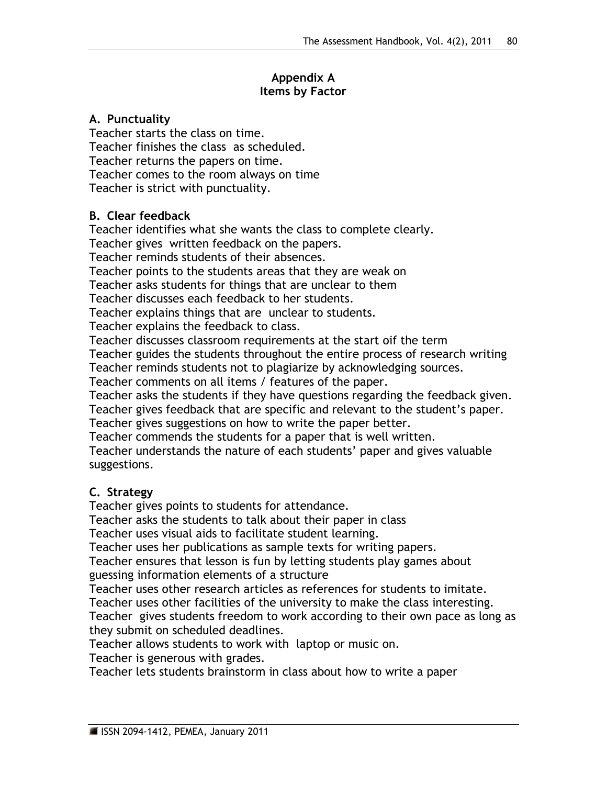## **Appendix A Items by Factor**

#### **A. Punctuality**

Teacher starts the class on time. Teacher finishes the class as scheduled. Teacher returns the papers on time. Teacher comes to the room always on time Teacher is strict with punctuality.

## **B. Clear feedback**

Teacher identifies what she wants the class to complete clearly. Teacher gives written feedback on the papers. Teacher reminds students of their absences. Teacher points to the students areas that they are weak on Teacher asks students for things that are unclear to them Teacher discusses each feedback to her students. Teacher explains things that are unclear to students. Teacher explains the feedback to class. Teacher discusses classroom requirements at the start oif the term Teacher guides the students throughout the entire process of research writing Teacher reminds students not to plagiarize by acknowledging sources. Teacher comments on all items / features of the paper. Teacher asks the students if they have questions regarding the feedback given. Teacher gives feedback that are specific and relevant to the student's paper. Teacher gives suggestions on how to write the paper better. Teacher commends the students for a paper that is well written. Teacher understands the nature of each students' paper and gives valuable

#### suggestions.

# **C. Strategy**

Teacher gives points to students for attendance.

Teacher asks the students to talk about their paper in class

Teacher uses visual aids to facilitate student learning.

Teacher uses her publications as sample texts for writing papers.

Teacher ensures that lesson is fun by letting students play games about guessing information elements of a structure

Teacher uses other research articles as references for students to imitate. Teacher uses other facilities of the university to make the class interesting. Teacher gives students freedom to work according to their own pace as long as they submit on scheduled deadlines.

Teacher allows students to work with laptop or music on.

Teacher is generous with grades.

Teacher lets students brainstorm in class about how to write a paper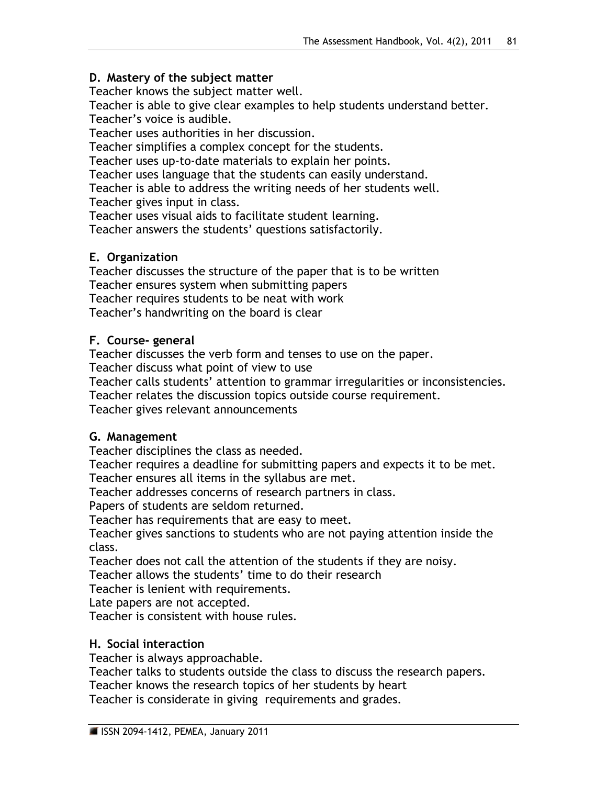## **D. Mastery of the subject matter**

Teacher knows the subject matter well.

Teacher is able to give clear examples to help students understand better. Teacher's voice is audible.

Teacher uses authorities in her discussion.

Teacher simplifies a complex concept for the students.

Teacher uses up-to-date materials to explain her points.

Teacher uses language that the students can easily understand.

Teacher is able to address the writing needs of her students well.

Teacher gives input in class.

Teacher uses visual aids to facilitate student learning.

Teacher answers the students' questions satisfactorily.

# **E. Organization**

Teacher discusses the structure of the paper that is to be written Teacher ensures system when submitting papers Teacher requires students to be neat with work Teacher's handwriting on the board is clear

# **F. Course- general**

Teacher discusses the verb form and tenses to use on the paper.

Teacher discuss what point of view to use

Teacher calls students' attention to grammar irregularities or inconsistencies.

Teacher relates the discussion topics outside course requirement.

Teacher gives relevant announcements

# **G. Management**

Teacher disciplines the class as needed.

Teacher requires a deadline for submitting papers and expects it to be met. Teacher ensures all items in the syllabus are met.

Teacher addresses concerns of research partners in class.

Papers of students are seldom returned.

Teacher has requirements that are easy to meet.

Teacher gives sanctions to students who are not paying attention inside the class.

Teacher does not call the attention of the students if they are noisy.

Teacher allows the students' time to do their research

Teacher is lenient with requirements.

Late papers are not accepted.

Teacher is consistent with house rules.

# **H. Social interaction**

Teacher is always approachable.

Teacher talks to students outside the class to discuss the research papers.

Teacher knows the research topics of her students by heart

Teacher is considerate in giving requirements and grades.